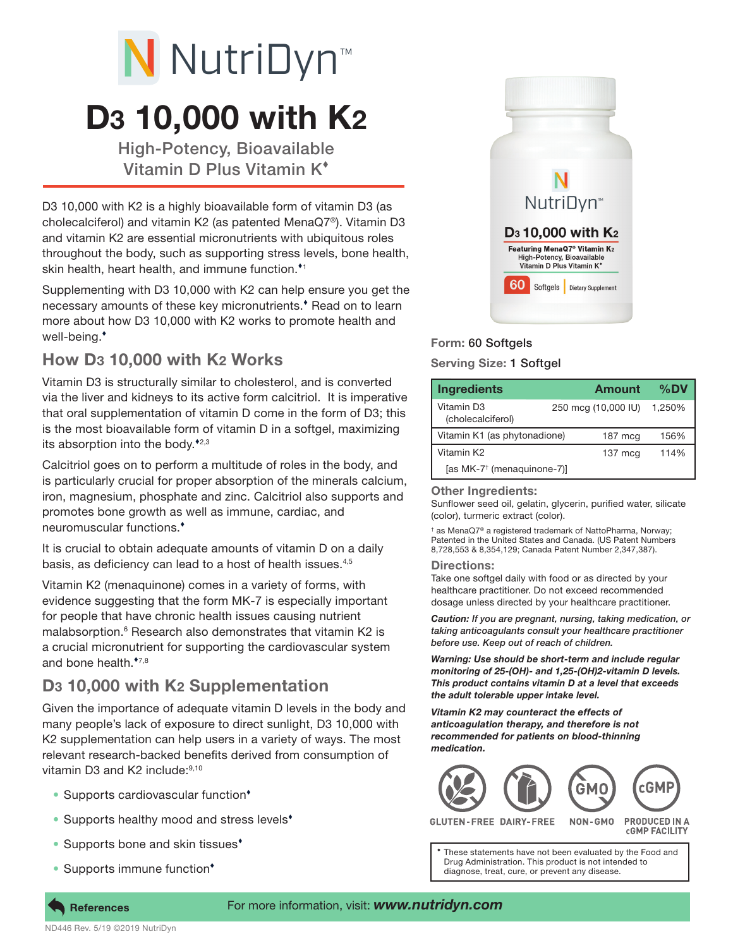# D3 10,000 with K2 N NutriDyn<sup>™</sup>

High-Potency, Bioavailable Vitamin D Plus Vitamin K

D3 10,000 with K2 is a highly bioavailable form of vitamin D3 (as cholecalciferol) and vitamin K2 (as patented MenaQ7®). Vitamin D3 and vitamin K2 are essential micronutrients with ubiquitous roles throughout the body, such as supporting stress levels, bone health, skin health, heart health, and immune function.<sup>11</sup>

Supplementing with D3 10,000 with K2 can help ensure you get the necessary amounts of these key micronutrients. Read on to learn more about how D3 10,000 with K2 works to promote health and well-being.

## How D3 10,000 with K2 Works

Vitamin D3 is structurally similar to cholesterol, and is converted via the liver and kidneys to its active form calcitriol. It is imperative that oral supplementation of vitamin D come in the form of D3; this is the most bioavailable form of vitamin D in a softgel, maximizing its absorption into the body. $*_{2,3}$ 

Calcitriol goes on to perform a multitude of roles in the body, and is particularly crucial for proper absorption of the minerals calcium, iron, magnesium, phosphate and zinc. Calcitriol also supports and promotes bone growth as well as immune, cardiac, and neuromuscular functions.

It is crucial to obtain adequate amounts of vitamin D on a daily basis, as deficiency can lead to a host of health issues.4,5

Vitamin K2 (menaquinone) comes in a variety of forms, with evidence suggesting that the form MK-7 is especially important for people that have chronic health issues causing nutrient malabsorption.<sup>6</sup> Research also demonstrates that vitamin K2 is a crucial micronutrient for supporting the cardiovascular system and bone health. $*7,8$ 

## D3 10,000 with K2 Supplementation

Given the importance of adequate vitamin D levels in the body and many people's lack of exposure to direct sunlight, D3 10,000 with K2 supplementation can help users in a variety of ways. The most relevant research-backed benefits derived from consumption of vitamin D3 and K2 include: 9,10

- Supports cardiovascular function<sup>\*</sup>
- Supports healthy mood and stress levels<sup>\*</sup>
- Supports bone and skin tissues<sup>\*</sup>
- Supports immune function<sup>\*</sup>



### Form: 60 Softgels

#### Serving Size: 1 Softgel

| <b>Ingredients</b>                     |  | Amount              | $\%$ DV |
|----------------------------------------|--|---------------------|---------|
| Vitamin D3<br>(cholecalciferol)        |  | 250 mcg (10,000 IU) | 1.250%  |
| Vitamin K1 (as phytonadione)           |  | $187 \text{ mca}$   | 156%    |
| Vitamin K2                             |  | $137 \text{ mcq}$   | 114%    |
| [as MK-7 <sup>†</sup> (menaquinone-7)] |  |                     |         |

#### Other Ingredients:

Sunflower seed oil, gelatin, glycerin, purified water, silicate (color), turmeric extract (color).

† as MenaQ7® a registered trademark of NattoPharma, Norway; Patented in the United States and Canada. (US Patent Numbers 8,728,553 & 8,354,129; Canada Patent Number 2,347,387).

#### Directions:

Take one softgel daily with food or as directed by your healthcare practitioner. Do not exceed recommended dosage unless directed by your healthcare practitioner.

*Caution: If you are pregnant, nursing, taking medication, or taking anticoagulants consult your healthcare practitioner before use. Keep out of reach of children.*

*Warning: Use should be short-term and include regular monitoring of 25-(OH)- and 1,25-(OH)2-vitamin D levels. This product contains vitamin D at a level that exceeds the adult tolerable upper intake level.*

*Vitamin K2 may counteract the effects of anticoagulation therapy, and therefore is not recommended for patients on blood-thinning medication.*



DAIRY-FREE

**CGMP FACILITY** 

These statements have not been evaluated by the Food and Drug Administration. This product is not intended to diagnose, treat, cure, or prevent any disease.



**References**